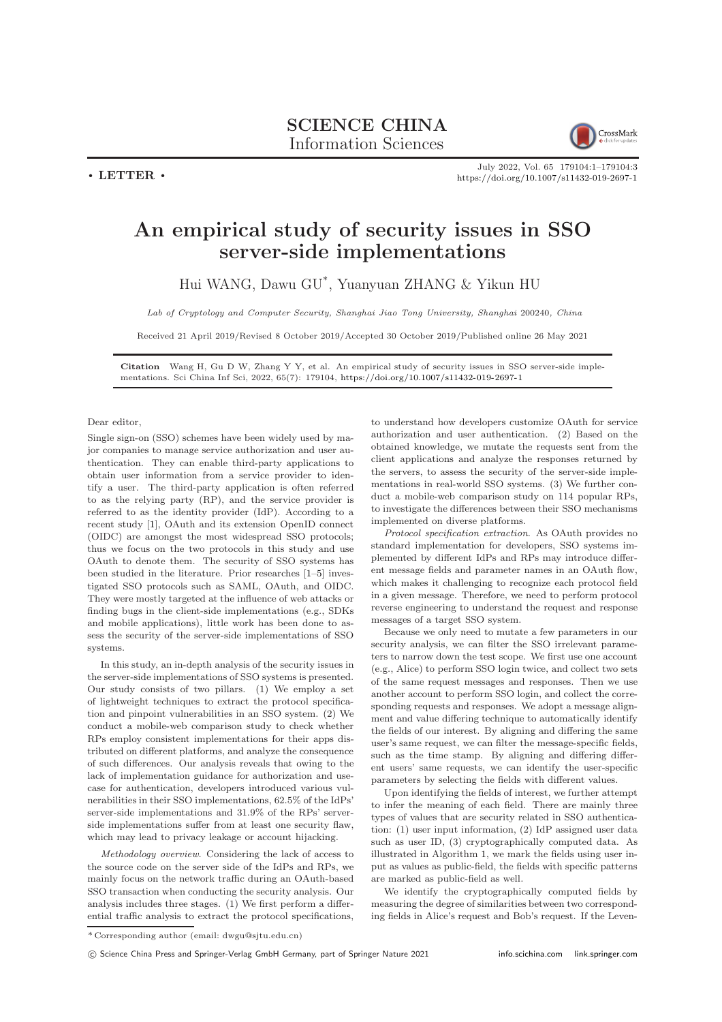## SCIENCE CHINA Information Sciences



 $\cdot$  LETTER  $\cdot$ 

July 2022, Vol. 65 179104:1–179104[:3](#page-2-0) <https://doi.org/10.1007/s11432-019-2697-1>

## An empirical study of security issues in SSO server-side implementations

Hui WANG, Dawu GU\* , Yuanyuan ZHANG & Yikun HU

Lab of Cryptology and Computer Security, Shanghai Jiao Tong University, Shanghai 200240, China

Received 21 April 2019/Revised 8 October 2019/Accepted 30 October 2019/Published online 26 May 2021

Citation Wang H, Gu D W, Zhang Y Y, et al. An empirical study of security issues in SSO server-side implementations. Sci China Inf Sci, 2022, 65(7): 179104, <https://doi.org/10.1007/s11432-019-2697-1>

Dear editor,

Single sign-on (SSO) schemes have been widely used by major companies to manage service authorization and user authentication. They can enable third-party applications to obtain user information from a service provider to identify a user. The third-party application is often referred to as the relying party (RP), and the service provider is referred to as the identity provider (IdP). According to a recent study [\[1\]](#page-2-1), OAuth and its extension OpenID connect (OIDC) are amongst the most widespread SSO protocols; thus we focus on the two protocols in this study and use OAuth to denote them. The security of SSO systems has been studied in the literature. Prior researches [\[1–](#page-2-1)[5\]](#page-2-2) investigated SSO protocols such as SAML, OAuth, and OIDC. They were mostly targeted at the influence of web attacks or finding bugs in the client-side implementations (e.g., SDKs and mobile applications), little work has been done to assess the security of the server-side implementations of SSO systems.

In this study, an in-depth analysis of the security issues in the server-side implementations of SSO systems is presented. Our study consists of two pillars. (1) We employ a set of lightweight techniques to extract the protocol specification and pinpoint vulnerabilities in an SSO system. (2) We conduct a mobile-web comparison study to check whether RPs employ consistent implementations for their apps distributed on different platforms, and analyze the consequence of such differences. Our analysis reveals that owing to the lack of implementation guidance for authorization and usecase for authentication, developers introduced various vulnerabilities in their SSO implementations, 62.5% of the IdPs' server-side implementations and 31.9% of the RPs' serverside implementations suffer from at least one security flaw, which may lead to privacy leakage or account hijacking.

Methodology overview. Considering the lack of access to the source code on the server side of the IdPs and RPs, we mainly focus on the network traffic during an OAuth-based SSO transaction when conducting the security analysis. Our analysis includes three stages. (1) We first perform a differential traffic analysis to extract the protocol specifications,

to understand how developers customize OAuth for service authorization and user authentication. (2) Based on the obtained knowledge, we mutate the requests sent from the client applications and analyze the responses returned by the servers, to assess the security of the server-side implementations in real-world SSO systems. (3) We further conduct a mobile-web comparison study on 114 popular RPs, to investigate the differences between their SSO mechanisms implemented on diverse platforms.

Protocol specification extraction. As OAuth provides no standard implementation for developers, SSO systems implemented by different IdPs and RPs may introduce different message fields and parameter names in an OAuth flow, which makes it challenging to recognize each protocol field in a given message. Therefore, we need to perform protocol reverse engineering to understand the request and response messages of a target SSO system.

Because we only need to mutate a few parameters in our security analysis, we can filter the SSO irrelevant parameters to narrow down the test scope. We first use one account (e.g., Alice) to perform SSO login twice, and collect two sets of the same request messages and responses. Then we use another account to perform SSO login, and collect the corresponding requests and responses. We adopt a message alignment and value differing technique to automatically identify the fields of our interest. By aligning and differing the same user's same request, we can filter the message-specific fields, such as the time stamp. By aligning and differing different users' same requests, we can identify the user-specific parameters by selecting the fields with different values.

Upon identifying the fields of interest, we further attempt to infer the meaning of each field. There are mainly three types of values that are security related in SSO authentication: (1) user input information, (2) IdP assigned user data such as user ID, (3) cryptographically computed data. As illustrated in Algorithm [1,](#page-1-0) we mark the fields using user input as values as public-field, the fields with specific patterns are marked as public-field as well.

We identify the cryptographically computed fields by measuring the degree of similarities between two corresponding fields in Alice's request and Bob's request. If the Leven-

<sup>\*</sup> Corresponding author (email: dwgu@sjtu.edu.cn)

c Science China Press and Springer-Verlag GmbH Germany, part of Springer Nature 2021 <info.scichina.com><link.springer.com>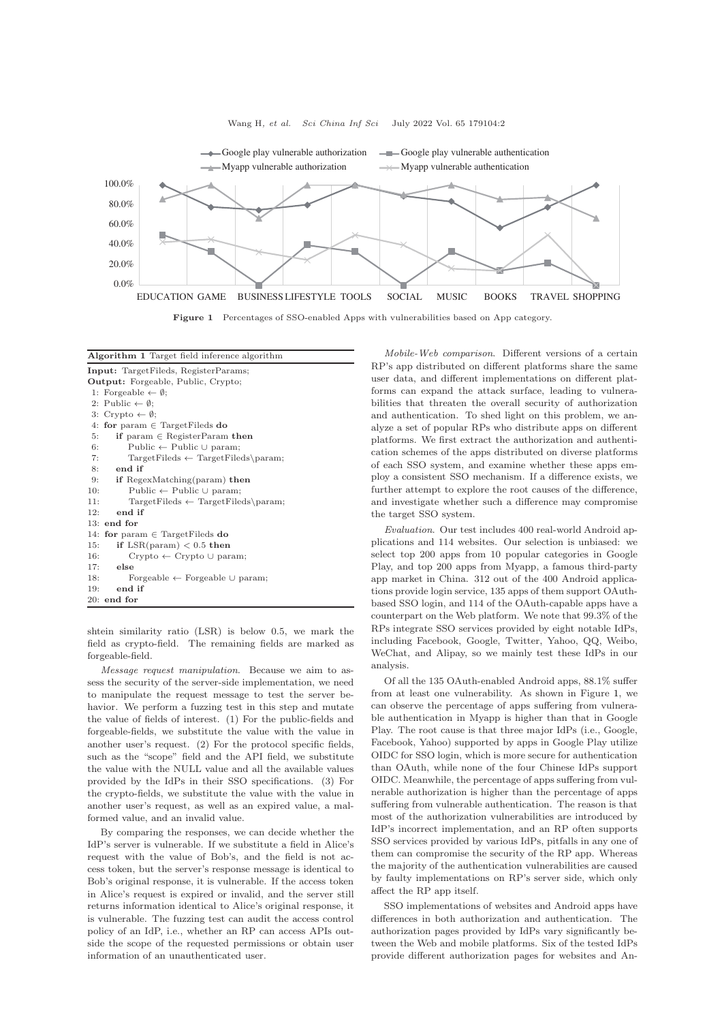<span id="page-1-1"></span>

Figure 1 Percentages of SSO-enabled Apps with vulnerabilities based on App category.

<span id="page-1-0"></span>

| Algorithm 1 Target field inference algorithm          |
|-------------------------------------------------------|
| <b>Input:</b> TargetFileds, RegisterParams;           |
| <b>Output:</b> Forgeable, Public, Crypto;             |
| 1: Forgeable $\leftarrow \emptyset$ ;                 |
| 2: Public $\leftarrow \emptyset$ :                    |
| 3: Crypto $\leftarrow \emptyset$ ;                    |
| 4: for param $\in$ Target Fileds do                   |
| if param $\in$ RegisterParam then<br>5:               |
| 6:<br>Public $\leftarrow$ Public $\cup$ param;        |
| 7:<br>$TargetFields \leftarrow TargetFields\parals$   |
| end if<br>8:                                          |
| if RegexMatching(param) then<br>9:                    |
| 10:<br>Public $\leftarrow$ Public $\cup$ param;       |
| $TargetFields \leftarrow TargetFields\param;$<br>11:  |
| end if<br>12:                                         |
| 13:<br>end for                                        |
| for param $\in$ Target Fileds do<br>14:               |
| if $LSR(param) < 0.5$ then<br>15:                     |
| 16:<br>$Crypto \leftarrow Crypto \cup param;$         |
| 17:<br>else                                           |
| 18:<br>Forgeable $\leftarrow$ Forgeable $\cup$ param; |
| end if<br>19:                                         |
| $20:$ end for                                         |

shtein similarity ratio (LSR) is below 0.5, we mark the field as crypto-field. The remaining fields are marked as forgeable-field.

Message request manipulation. Because we aim to assess the security of the server-side implementation, we need to manipulate the request message to test the server behavior. We perform a fuzzing test in this step and mutate the value of fields of interest. (1) For the public-fields and forgeable-fields, we substitute the value with the value in another user's request. (2) For the protocol specific fields, such as the "scope" field and the API field, we substitute the value with the NULL value and all the available values provided by the IdPs in their SSO specifications. (3) For the crypto-fields, we substitute the value with the value in another user's request, as well as an expired value, a malformed value, and an invalid value.

By comparing the responses, we can decide whether the IdP's server is vulnerable. If we substitute a field in Alice's request with the value of Bob's, and the field is not access token, but the server's response message is identical to Bob's original response, it is vulnerable. If the access token in Alice's request is expired or invalid, and the server still returns information identical to Alice's original response, it is vulnerable. The fuzzing test can audit the access control policy of an IdP, i.e., whether an RP can access APIs outside the scope of the requested permissions or obtain user information of an unauthenticated user.

Mobile-Web comparison. Different versions of a certain RP's app distributed on different platforms share the same user data, and different implementations on different platforms can expand the attack surface, leading to vulnerabilities that threaten the overall security of authorization and authentication. To shed light on this problem, we analyze a set of popular RPs who distribute apps on different platforms. We first extract the authorization and authentication schemes of the apps distributed on diverse platforms of each SSO system, and examine whether these apps employ a consistent SSO mechanism. If a difference exists, we further attempt to explore the root causes of the difference, and investigate whether such a difference may compromise the target SSO system.

Evaluation. Our test includes 400 real-world Android applications and 114 websites. Our selection is unbiased: we select top 200 apps from 10 popular categories in Google Play, and top 200 apps from Myapp, a famous third-party app market in China. 312 out of the 400 Android applications provide login service, 135 apps of them support OAuthbased SSO login, and 114 of the OAuth-capable apps have a counterpart on the Web platform. We note that 99.3% of the RPs integrate SSO services provided by eight notable IdPs, including Facebook, Google, Twitter, Yahoo, QQ, Weibo, WeChat, and Alipay, so we mainly test these IdPs in our analysis.

Of all the 135 OAuth-enabled Android apps, 88.1% suffer from at least one vulnerability. As shown in Figure [1,](#page-1-1) we can observe the percentage of apps suffering from vulnerable authentication in Myapp is higher than that in Google Play. The root cause is that three major IdPs (i.e., Google, Facebook, Yahoo) supported by apps in Google Play utilize OIDC for SSO login, which is more secure for authentication than OAuth, while none of the four Chinese IdPs support OIDC. Meanwhile, the percentage of apps suffering from vulnerable authorization is higher than the percentage of apps suffering from vulnerable authentication. The reason is that most of the authorization vulnerabilities are introduced by IdP's incorrect implementation, and an RP often supports SSO services provided by various IdPs, pitfalls in any one of them can compromise the security of the RP app. Whereas the majority of the authentication vulnerabilities are caused by faulty implementations on RP's server side, which only affect the RP app itself.

SSO implementations of websites and Android apps have differences in both authorization and authentication. The authorization pages provided by IdPs vary significantly between the Web and mobile platforms. Six of the tested IdPs provide different authorization pages for websites and An